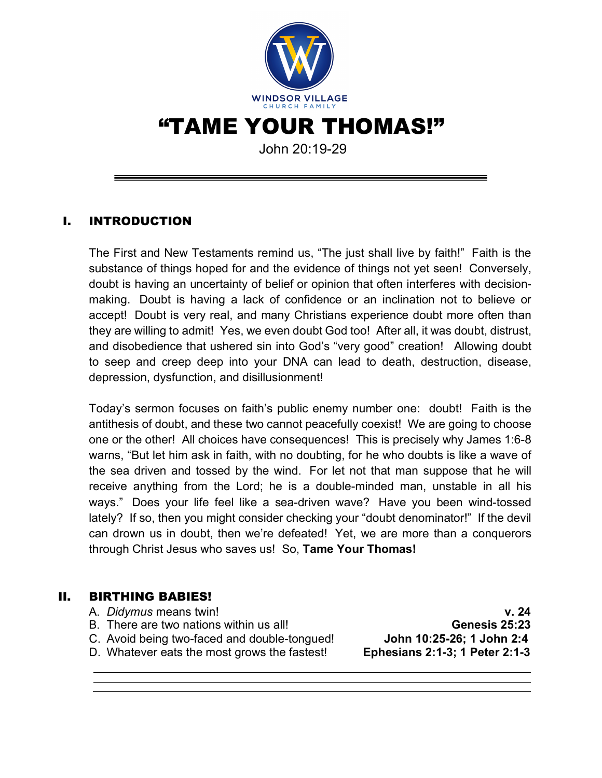

"TAME YOUR THOMAS!"

John 20:19-29

# I. INTRODUCTION

The First and New Testaments remind us, "The just shall live by faith!" Faith is the substance of things hoped for and the evidence of things not yet seen! Conversely, doubt is having an uncertainty of belief or opinion that often interferes with decisionmaking. Doubt is having a lack of confidence or an inclination not to believe or accept! Doubt is very real, and many Christians experience doubt more often than they are willing to admit! Yes, we even doubt God too! After all, it was doubt, distrust, and disobedience that ushered sin into God's "very good" creation! Allowing doubt to seep and creep deep into your DNA can lead to death, destruction, disease, depression, dysfunction, and disillusionment!

Today's sermon focuses on faith's public enemy number one: doubt! Faith is the antithesis of doubt, and these two cannot peacefully coexist! We are going to choose one or the other! All choices have consequences! This is precisely why James 1:6-8 warns, "But let him ask in faith, with no doubting, for he who doubts is like a wave of the sea driven and tossed by the wind. For let not that man suppose that he will receive anything from the Lord; he is a double-minded man, unstable in all his ways." Does your life feel like a sea-driven wave? Have you been wind-tossed lately? If so, then you might consider checking your "doubt denominator!" If the devil can drown us in doubt, then we're defeated! Yet, we are more than a conquerors through Christ Jesus who saves us! So, **Tame Your Thomas!**

#### II. BIRTHING BABIES!

A. *Didymus* means twin! **v. 24** B. There are two nations within us all! **Genesis 25:23** C. Avoid being two-faced and double-tongued! **John 10:25-26; 1 John 2:4** D. Whatever eats the most grows the fastest! **Ephesians 2:1-3; 1 Peter 2:1-3**